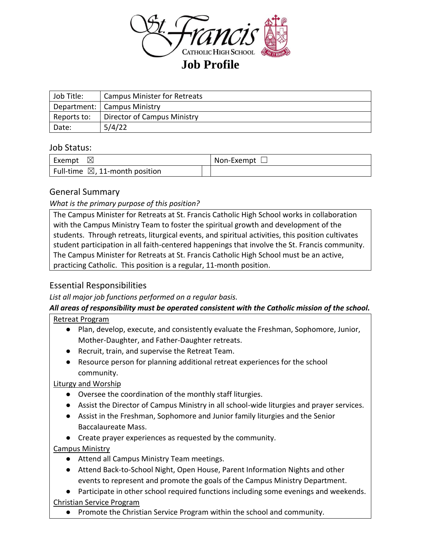

| Job Title:  | <b>Campus Minister for Retreats</b> |
|-------------|-------------------------------------|
|             | Department:   Campus Ministry       |
| Reports to: | Director of Campus Ministry         |
| Date:       | 5/4/22                              |

## Job Status:

| Exempt<br>$\boxtimes$                     | Non-Exempt $\square$ |
|-------------------------------------------|----------------------|
| Full-time $\boxtimes$ , 11-month position |                      |

# General Summary

*What is the primary purpose of this position?*

The Campus Minister for Retreats at St. Francis Catholic High School works in collaboration with the Campus Ministry Team to foster the spiritual growth and development of the students. Through retreats, liturgical events, and spiritual activities, this position cultivates student participation in all faith-centered happenings that involve the St. Francis community. The Campus Minister for Retreats at St. Francis Catholic High School must be an active, practicing Catholic. This position is a regular, 11-month position.

# Essential Responsibilities

*List all major job functions performed on a regular basis.* 

# *All areas of responsibility must be operated consistent with the Catholic mission of the school.*

### Retreat Program

- Plan, develop, execute, and consistently evaluate the Freshman, Sophomore, Junior, Mother-Daughter, and Father-Daughter retreats.
- Recruit, train, and supervise the Retreat Team.
- Resource person for planning additional retreat experiences for the school community.

# Liturgy and Worship

- Oversee the coordination of the monthly staff liturgies.
- Assist the Director of Campus Ministry in all school-wide liturgies and prayer services.
- Assist in the Freshman, Sophomore and Junior family liturgies and the Senior Baccalaureate Mass.
- Create prayer experiences as requested by the community.

# Campus Ministry

- Attend all Campus Ministry Team meetings.
- Attend Back-to-School Night, Open House, Parent Information Nights and other events to represent and promote the goals of the Campus Ministry Department.
- Participate in other school required functions including some evenings and weekends. Christian Service Program
	- Promote the Christian Service Program within the school and community.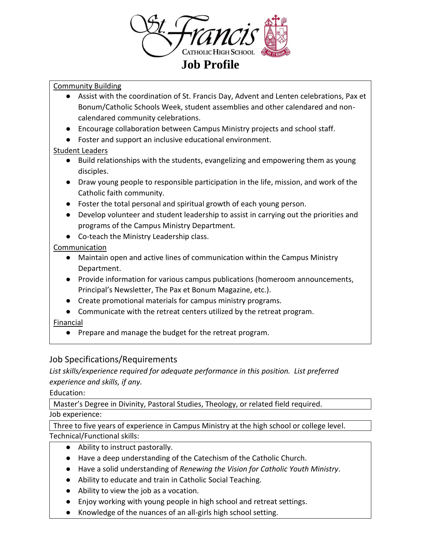

## Community Building

- Assist with the coordination of St. Francis Day, Advent and Lenten celebrations, Pax et Bonum/Catholic Schools Week, student assemblies and other calendared and noncalendared community celebrations.
- Encourage collaboration between Campus Ministry projects and school staff.
- Foster and support an inclusive educational environment.

## Student Leaders

- Build relationships with the students, evangelizing and empowering them as young disciples.
- Draw young people to responsible participation in the life, mission, and work of the Catholic faith community.
- Foster the total personal and spiritual growth of each young person.
- Develop volunteer and student leadership to assist in carrying out the priorities and programs of the Campus Ministry Department.
- Co-teach the Ministry Leadership class.

## Communication

- Maintain open and active lines of communication within the Campus Ministry Department.
- Provide information for various campus publications (homeroom announcements, Principal's Newsletter, The Pax et Bonum Magazine, etc.).
- Create promotional materials for campus ministry programs.
- Communicate with the retreat centers utilized by the retreat program.

### Financial

● Prepare and manage the budget for the retreat program.

# Job Specifications/Requirements

*List skills/experience required for adequate performance in this position. List preferred experience and skills, if any.*

### Education:

Master's Degree in Divinity, Pastoral Studies, Theology, or related field required. Job experience:

Three to five years of experience in Campus Ministry at the high school or college level. Technical/Functional skills:

- Ability to instruct pastorally.
- Have a deep understanding of the Catechism of the Catholic Church.
- Have a solid understanding of *Renewing the Vision for Catholic Youth Ministry*.
- Ability to educate and train in Catholic Social Teaching.
- Ability to view the job as a vocation.
- Enjoy working with young people in high school and retreat settings.
- Knowledge of the nuances of an all-girls high school setting.